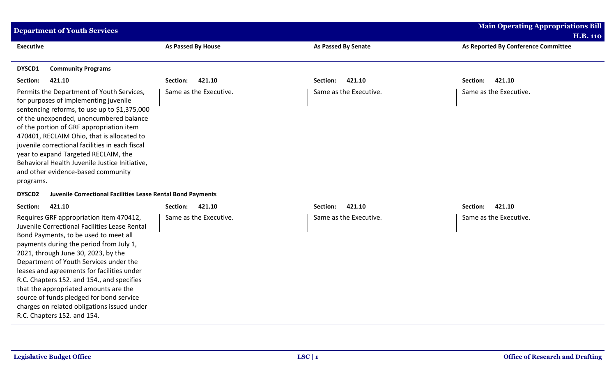| <b>Department of Youth Services</b>                                                                                                                                                                                                                                                                                                                                                                                                                                                                                          |                        |                        | <b>Main Operating Appropriations Bill</b>              |
|------------------------------------------------------------------------------------------------------------------------------------------------------------------------------------------------------------------------------------------------------------------------------------------------------------------------------------------------------------------------------------------------------------------------------------------------------------------------------------------------------------------------------|------------------------|------------------------|--------------------------------------------------------|
| <b>Executive</b>                                                                                                                                                                                                                                                                                                                                                                                                                                                                                                             | As Passed By House     | As Passed By Senate    | <b>H.B. 110</b><br>As Reported By Conference Committee |
| DYSCD1<br><b>Community Programs</b>                                                                                                                                                                                                                                                                                                                                                                                                                                                                                          |                        |                        |                                                        |
| Section:<br>421.10                                                                                                                                                                                                                                                                                                                                                                                                                                                                                                           | 421.10<br>Section:     | 421.10<br>Section:     | 421.10<br>Section:                                     |
| Permits the Department of Youth Services,<br>for purposes of implementing juvenile<br>sentencing reforms, to use up to \$1,375,000<br>of the unexpended, unencumbered balance<br>of the portion of GRF appropriation item<br>470401, RECLAIM Ohio, that is allocated to<br>juvenile correctional facilities in each fiscal<br>year to expand Targeted RECLAIM, the<br>Behavioral Health Juvenile Justice Initiative,<br>and other evidence-based community<br>programs.                                                      | Same as the Executive. | Same as the Executive. | Same as the Executive.                                 |
| Juvenile Correctional Facilities Lease Rental Bond Payments<br>DYSCD2                                                                                                                                                                                                                                                                                                                                                                                                                                                        |                        |                        |                                                        |
| Section:<br>421.10                                                                                                                                                                                                                                                                                                                                                                                                                                                                                                           | Section:<br>421.10     | 421.10<br>Section:     | 421.10<br>Section:                                     |
| Requires GRF appropriation item 470412,<br>Juvenile Correctional Facilities Lease Rental<br>Bond Payments, to be used to meet all<br>payments during the period from July 1,<br>2021, through June 30, 2023, by the<br>Department of Youth Services under the<br>leases and agreements for facilities under<br>R.C. Chapters 152. and 154., and specifies<br>that the appropriated amounts are the<br>source of funds pledged for bond service<br>charges on related obligations issued under<br>R.C. Chapters 152. and 154. | Same as the Executive. | Same as the Executive. | Same as the Executive.                                 |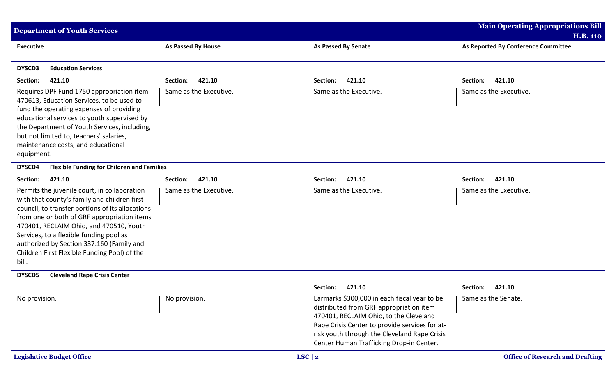| <b>Department of Youth Services</b>                                                                                                                                                                                                                                                                                                                                                         |                        |                                                                                                                                                                                                                                                                                 | <b>Main Operating Appropriations Bill</b> |
|---------------------------------------------------------------------------------------------------------------------------------------------------------------------------------------------------------------------------------------------------------------------------------------------------------------------------------------------------------------------------------------------|------------------------|---------------------------------------------------------------------------------------------------------------------------------------------------------------------------------------------------------------------------------------------------------------------------------|-------------------------------------------|
|                                                                                                                                                                                                                                                                                                                                                                                             |                        |                                                                                                                                                                                                                                                                                 | <b>H.B. 110</b>                           |
| <b>Executive</b>                                                                                                                                                                                                                                                                                                                                                                            | As Passed By House     | <b>As Passed By Senate</b>                                                                                                                                                                                                                                                      | As Reported By Conference Committee       |
| DYSCD3<br><b>Education Services</b>                                                                                                                                                                                                                                                                                                                                                         |                        |                                                                                                                                                                                                                                                                                 |                                           |
| 421.10<br>Section:                                                                                                                                                                                                                                                                                                                                                                          | 421.10<br>Section:     | 421.10<br>Section:                                                                                                                                                                                                                                                              | 421.10<br>Section:                        |
| Requires DPF Fund 1750 appropriation item<br>470613, Education Services, to be used to<br>fund the operating expenses of providing<br>educational services to youth supervised by<br>the Department of Youth Services, including,<br>but not limited to, teachers' salaries,<br>maintenance costs, and educational<br>equipment.                                                            | Same as the Executive. | Same as the Executive.                                                                                                                                                                                                                                                          | Same as the Executive.                    |
| DYSCD4<br><b>Flexible Funding for Children and Families</b>                                                                                                                                                                                                                                                                                                                                 |                        |                                                                                                                                                                                                                                                                                 |                                           |
| 421.10<br>Section:                                                                                                                                                                                                                                                                                                                                                                          | 421.10<br>Section:     | 421.10<br>Section:                                                                                                                                                                                                                                                              | 421.10<br>Section:                        |
| Permits the juvenile court, in collaboration<br>with that county's family and children first<br>council, to transfer portions of its allocations<br>from one or both of GRF appropriation items<br>470401, RECLAIM Ohio, and 470510, Youth<br>Services, to a flexible funding pool as<br>authorized by Section 337.160 (Family and<br>Children First Flexible Funding Pool) of the<br>bill. | Same as the Executive. | Same as the Executive.                                                                                                                                                                                                                                                          | Same as the Executive.                    |
| <b>Cleveland Rape Crisis Center</b><br><b>DYSCD5</b>                                                                                                                                                                                                                                                                                                                                        |                        |                                                                                                                                                                                                                                                                                 |                                           |
|                                                                                                                                                                                                                                                                                                                                                                                             |                        | 421.10<br>Section:                                                                                                                                                                                                                                                              | 421.10<br>Section:                        |
| No provision.                                                                                                                                                                                                                                                                                                                                                                               | No provision.          | Earmarks \$300,000 in each fiscal year to be<br>distributed from GRF appropriation item<br>470401, RECLAIM Ohio, to the Cleveland<br>Rape Crisis Center to provide services for at-<br>risk youth through the Cleveland Rape Crisis<br>Center Human Trafficking Drop-in Center. | Same as the Senate.                       |
| <b>Legislative Budget Office</b>                                                                                                                                                                                                                                                                                                                                                            |                        | LSC   2                                                                                                                                                                                                                                                                         | <b>Office of Research and Drafting</b>    |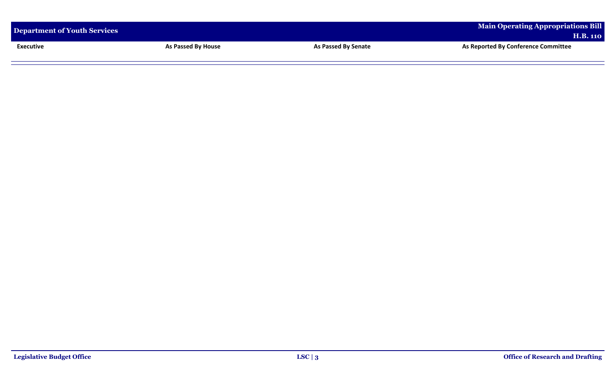| Department of Youth Services |                    |                            | Main Operating Appropriations Bill  |
|------------------------------|--------------------|----------------------------|-------------------------------------|
|                              |                    |                            | <b>H.B. 110</b>                     |
| <b>Executive</b>             | As Passed By House | <b>As Passed By Senate</b> | As Reported By Conference Committee |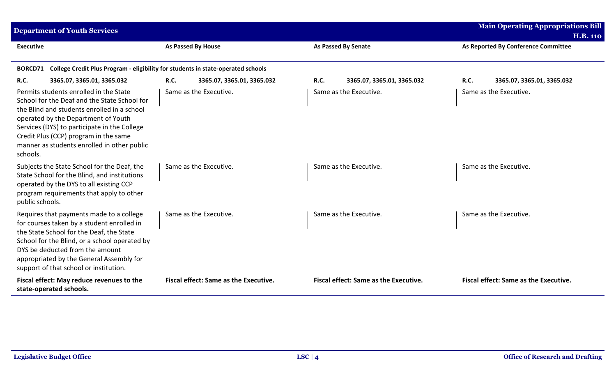| <b>Department of Youth Services</b>                                                                                                                                                                                                                                                                                              |                                                                                  |                                              | <b>Main Operating Appropriations Bill</b>              |  |
|----------------------------------------------------------------------------------------------------------------------------------------------------------------------------------------------------------------------------------------------------------------------------------------------------------------------------------|----------------------------------------------------------------------------------|----------------------------------------------|--------------------------------------------------------|--|
| <b>Executive</b>                                                                                                                                                                                                                                                                                                                 | As Passed By House                                                               | <b>As Passed By Senate</b>                   | <b>H.B. 110</b><br>As Reported By Conference Committee |  |
|                                                                                                                                                                                                                                                                                                                                  |                                                                                  |                                              |                                                        |  |
| BORCD71                                                                                                                                                                                                                                                                                                                          | College Credit Plus Program - eligibility for students in state-operated schools |                                              |                                                        |  |
| <b>R.C.</b><br>3365.07, 3365.01, 3365.032                                                                                                                                                                                                                                                                                        | <b>R.C.</b><br>3365.07, 3365.01, 3365.032                                        | R.C.<br>3365.07, 3365.01, 3365.032           | R.C.<br>3365.07, 3365.01, 3365.032                     |  |
| Permits students enrolled in the State<br>School for the Deaf and the State School for<br>the Blind and students enrolled in a school<br>operated by the Department of Youth<br>Services (DYS) to participate in the College<br>Credit Plus (CCP) program in the same<br>manner as students enrolled in other public<br>schools. | Same as the Executive.                                                           | Same as the Executive.                       | Same as the Executive.                                 |  |
| Subjects the State School for the Deaf, the<br>State School for the Blind, and institutions<br>operated by the DYS to all existing CCP<br>program requirements that apply to other<br>public schools.                                                                                                                            | Same as the Executive.                                                           | Same as the Executive.                       | Same as the Executive.                                 |  |
| Requires that payments made to a college<br>for courses taken by a student enrolled in<br>the State School for the Deaf, the State<br>School for the Blind, or a school operated by<br>DYS be deducted from the amount<br>appropriated by the General Assembly for<br>support of that school or institution.                     | Same as the Executive.                                                           | Same as the Executive.                       | Same as the Executive.                                 |  |
| Fiscal effect: May reduce revenues to the<br>state-operated schools.                                                                                                                                                                                                                                                             | <b>Fiscal effect: Same as the Executive.</b>                                     | <b>Fiscal effect: Same as the Executive.</b> | Fiscal effect: Same as the Executive.                  |  |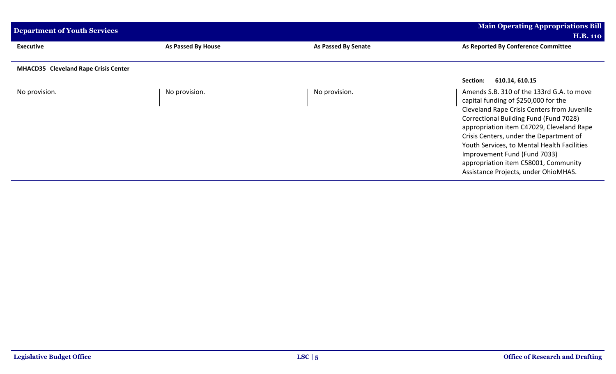| <b>Department of Youth Services</b>  |                    |                     | <b>Main Operating Appropriations Bill</b>                                                                                                                                                                                                                                                                                                                                                                                         |
|--------------------------------------|--------------------|---------------------|-----------------------------------------------------------------------------------------------------------------------------------------------------------------------------------------------------------------------------------------------------------------------------------------------------------------------------------------------------------------------------------------------------------------------------------|
|                                      |                    |                     | H.B. 110                                                                                                                                                                                                                                                                                                                                                                                                                          |
| <b>Executive</b>                     | As Passed By House | As Passed By Senate | As Reported By Conference Committee                                                                                                                                                                                                                                                                                                                                                                                               |
| MHACD35 Cleveland Rape Crisis Center |                    |                     |                                                                                                                                                                                                                                                                                                                                                                                                                                   |
|                                      |                    |                     | Section:<br>610.14, 610.15                                                                                                                                                                                                                                                                                                                                                                                                        |
| No provision.                        | No provision.      | No provision.       | Amends S.B. 310 of the 133rd G.A. to move<br>capital funding of \$250,000 for the<br>Cleveland Rape Crisis Centers from Juvenile<br>Correctional Building Fund (Fund 7028)<br>appropriation item C47029, Cleveland Rape<br>Crisis Centers, under the Department of<br>Youth Services, to Mental Health Facilities<br>Improvement Fund (Fund 7033)<br>appropriation item C58001, Community<br>Assistance Projects, under OhioMHAS. |